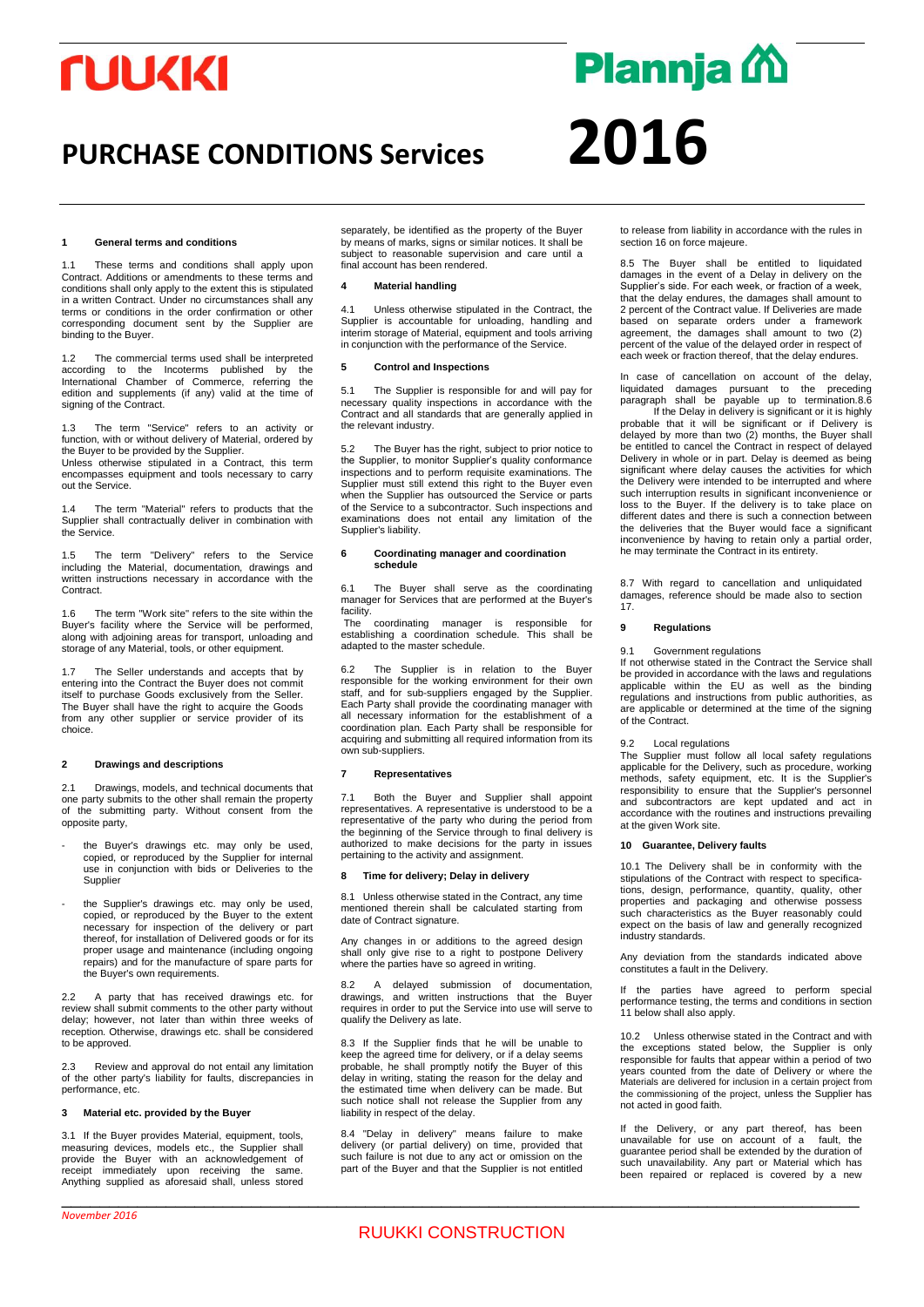# **NUKKI**

# **PURCHASE CONDITIONS Services 2016**

#### **1 General terms and conditions**

These terms and conditions shall apply upon Contract. Additions or amendments to these terms and conditions shall only apply to the extent this is stipulated in a written Contract. Under no circumstances shall any terms or conditions in the order confirmation or other corresponding document sent by the Supplier are binding to the Buyer.

1.2 The commercial terms used shall be interpreted according to the Incoterms published by the International Chamber of Commerce, referring the edition and supplements (if any) valid at the time of signing of the Contract.

1.3 The term "Service" refers to an activity or function, with or without delivery of Material, ordered by the Buyer to be provided by the Supplier.

Unless otherwise stipulated in a Contract, this term encompasses equipment and tools necessary to carry out the Service.

1.4 The term "Material" refers to products that the Supplier shall contractually deliver in combination with the Service.

1.5 The term "Delivery" refers to the Service including the Material, documentation, drawings and written instructions necessary in accordance with the **Contract.** 

1.6 The term "Work site" refers to the site within the Buyer's facility where the Service will be performed, along with adjoining areas for transport, unloading and storage of any Material, tools, or other equipment.

1.7 The Seller understands and accepts that by entering into the Contract the Buyer does not commit itself to purchase Goods exclusively from the Seller. The Buyer shall have the right to acquire the Goods from any other supplier or service provider of its choice.

# **2 Drawings and descriptions**

2.1 Drawings, models, and technical documents that one party submits to the other shall remain the property of the submitting party. Without consent from the opposite party,

- the Buver's drawings etc. may only be used. copied, or reproduced by the Supplier for internal use in conjunction with bids or Deliveries to the **Supplier**
- the Supplier's drawings etc. may only be used, copied, or reproduced by the Buyer to the extent necessary for inspection of the delivery or part thereof, for installation of Delivered goods or for its proper usage and maintenance (including ongoing repairs) and for the manufacture of spare parts for the Buyer's own requirements.

2.2 A party that has received drawings etc. for review shall submit comments to the other party without delay; however, not later than within three weeks of reception. Otherwise, drawings etc. shall be considered to be approved.

2.3 Review and approval do not entail any limitation of the other party's liability for faults, discrepancies in performance, etc.

# **3 Material etc. provided by the Buyer**

3.1 If the Buyer provides Material, equipment, tools, measuring devices, models etc., the Supplier shall provide the Buyer with an acknowledgement of receipt immediately upon receiving the same. Anything supplied as aforesaid shall, unless stored

separately, be identified as the property of the Buyer by means of marks, signs or similar notices. It shall be subject to reasonable supervision and care until a final account has been rendered.

# **4 Material handling**

Unless otherwise stipulated in the Contract, the Supplier is accountable for unloading, handling and interim storage of Material, equipment and tools arriving in conjunction with the performance of the Service.

#### **5 Control and Inspections**

5.1 The Supplier is responsible for and will pay for necessary quality inspections in accordance with the Contract and all standards that are generally applied in the relevant industry.

The Buyer has the right, subject to prior notice to the Supplier, to monitor Supplier's quality conformance inspections and to perform requisite examinations. The Supplier must still extend this right to the Buyer even when the Supplier has outsourced the Service or parts of the Service to a subcontractor. Such inspections and examinations does not entail any limitation of the Supplier's liability.

#### **6 Coordinating manager and coordination schedule**

6.1 The Buyer shall serve as the coordinating manager for Services that are performed at the Buyer's facility.<br>The

coordinating manager is responsible establishing a coordination schedule. This shall be adapted to the master schedule.

6.2 The Supplier is in relation to the Buyer responsible for the working environment for their own staff, and for sub-suppliers engaged by the Supplier. Each Party shall provide the coordinating manager with all necessary information for the establishment of a coordination plan. Each Party shall be responsible for acquiring and submitting all required information from its own sub-suppliers.

# **7 Representatives**

Both the Buyer and Supplier shall appoint representatives. A representative is understood to be a representative of the party who during the period from the beginning of the Service through to final delivery is authorized to make decisions for the party in issues pertaining to the activity and assignment.

# **8 Time for delivery; Delay in delivery**

8.1 Unless otherwise stated in the Contract, any time mentioned therein shall be calculated starting from date of Contract signature.

Any changes in or additions to the agreed design shall only give rise to a right to postpone Delivery where the parties have so agreed in writing.

8.2 A delayed submission of documentation, drawings, and written instructions that the Buyer requires in order to put the Service into use will serve to qualify the Delivery as late.

8.3 If the Supplier finds that he will be unable to keep the agreed time for delivery, or if a delay seems probable, he shall promptly notify the Buyer of this delay in writing, stating the reason for the delay and the estimated time when delivery can be made. But such notice shall not release the Supplier from any liability in respect of the delay.

8.4 "Delay in delivery" means failure to make delivery (or partial delivery) on time, provided that such failure is not due to any act or omission on the part of the Buyer and that the Supplier is not entitled to release from liability in accordance with the rules in section 16 on force majeure.

8.5 The Buyer shall be entitled to liquidated damages in the event of a Delay in delivery on the Supplier's side. For each week, or fraction of a week, that the delay endures, the damages shall amount to 2 percent of the Contract value. If Deliveries are made based on separate orders under a framework agreement, the damages shall amount to two (2) percent of the value of the delayed order in respect of each week or fraction thereof, that the delay endures.

In case of cancellation on account of the delay, liquidated damages pursuant to the preceding paragraph shall be payable up to termination.8.6

If the Delay in delivery is significant or it is highly probable that it will be significant or if Delivery is delayed by more than two (2) months, the Buyer shall be entitled to cancel the Contract in respect of delayed Delivery in whole or in part. Delay is deemed as being significant where delay causes the activities for which the Delivery were intended to be interrupted and where such interruption results in significant inconvenience or loss to the Buyer. If the delivery is to take place on different dates and there is such a connection between the deliveries that the Buyer would face a significant inconvenience by having to retain only a partial order, he may terminate the Contract in its entirety.

8.7 With regard to cancellation and unliquidated damages, reference should be made also to section 17.

# **9 Regulations**

#### 9.1 Government regulations

If not otherwise stated in the Contract the Service shall be provided in accordance with the laws and regulations applicable within the EU as well as the binding regulations and instructions from public authorities, as are applicable or determined at the time of the signing of the Contract.

# 9.2 Local regulations

The Supplier must follow all local safety regulations applicable for the Delivery, such as procedure, working methods, safety equipment, etc. It is the Supplier's responsibility to ensure that the Supplier's personnel and subcontractors are kept updated and act in accordance with the routines and instructions prevailing at the given Work site.

#### **10 Guarantee, Delivery faults**

10.1 The Delivery shall be in conformity with the stipulations of the Contract with respect to specifications, design, performance, quantity, quality, other properties and packaging and otherwise possess such characteristics as the Buyer reasonably could expect on the basis of law and generally recognized industry standards.

Any deviation from the standards indicated above constitutes a fault in the Delivery.

If the parties have agreed to perform special performance testing, the terms and conditions in section 11 below shall also apply.

10.2 Unless otherwise stated in the Contract and with the exceptions stated below, the Supplier is only responsible for faults that appear within a period of two years counted from the date of Delivery or where the Materials are delivered for inclusion in a certain project from the commissioning of the project, unless the Supplier has not acted in good faith.

If the Delivery, or any part thereof, has been unavailable for use on account of a fault, the guarantee period shall be extended by the duration of such unavailability. Any part or Material which has been repaired or replaced is covered by a new

\_\_\_\_\_\_\_\_\_\_\_\_\_\_\_\_\_\_\_\_\_\_\_\_\_\_\_\_\_\_\_\_\_\_\_\_\_\_\_\_\_\_\_\_\_\_\_\_\_\_\_\_\_\_\_\_\_\_\_\_\_\_\_\_\_\_\_\_\_\_\_\_\_\_\_\_\_\_\_\_\_\_\_\_

# **Plannja**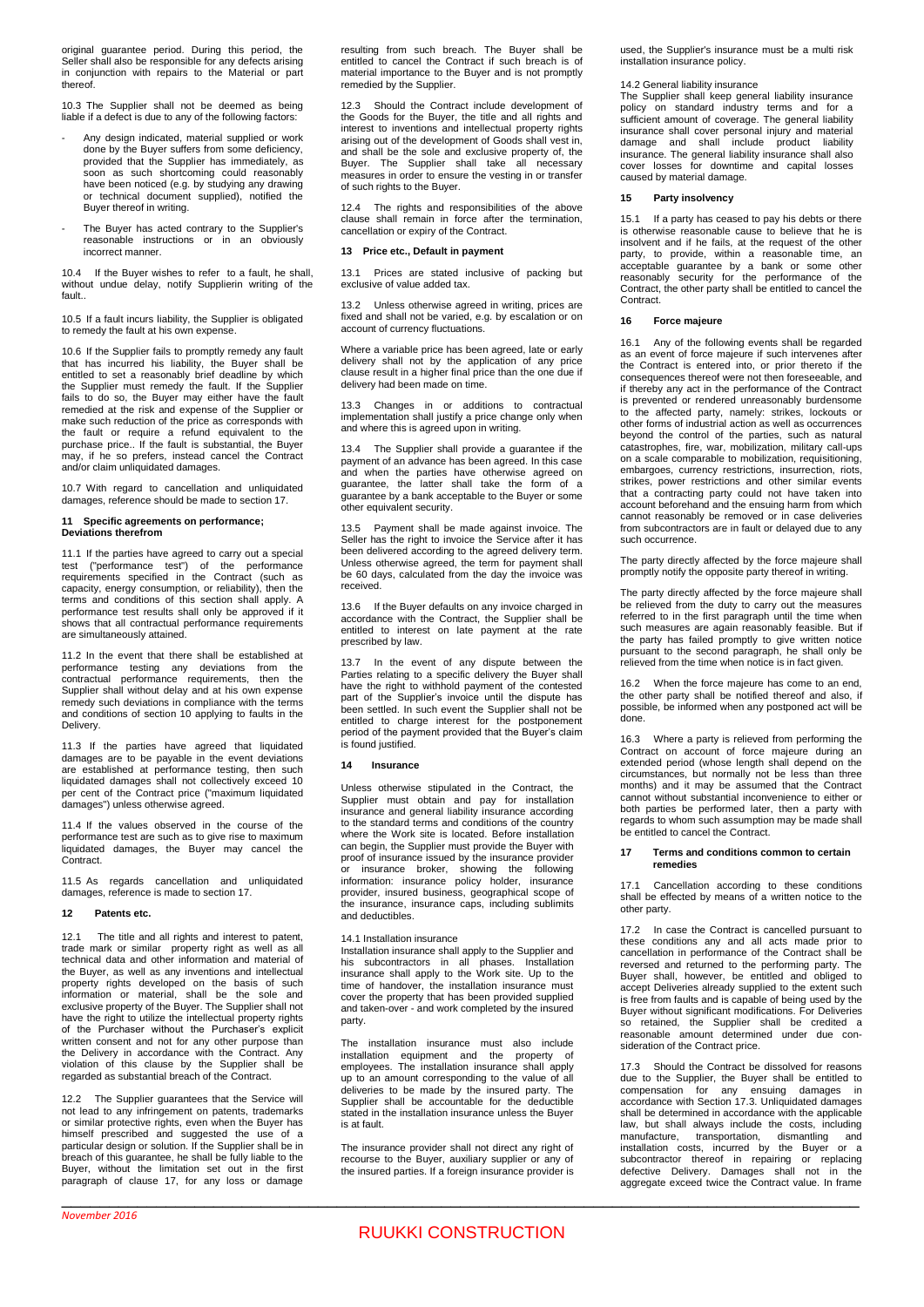original guarantee period. During this period, the Seller shall also be responsible for any defects arising in conjunction with repairs to the Material or part thereof.

10.3 The Supplier shall not be deemed as being liable if a defect is due to any of the following factors:

- Any design indicated, material supplied or work done by the Buyer suffers from some deficiency, provided that the Supplier has immediately, as soon as such shortcoming could reasonably have been noticed (e.g. by studying any drawing or technical document supplied), notified the Buyer thereof in writing.
- The Buyer has acted contrary to the Supplier's reasonable instructions or in an obviously incorrect manner.

10.4 If the Buyer wishes to refer to a fault, he shall without undue delay, notify Supplierin writing of the fault..

10.5 If a fault incurs liability, the Supplier is obligated to remedy the fault at his own expense.

10.6 If the Supplier fails to promptly remedy any fault that has incurred his liability, the Buyer shall be entitled to set a reasonably brief deadline by which the Supplier must remedy the fault. If the Supplier fails to do so, the Buyer may either have the fault remedied at the risk and expense of the Supplier or make such reduction of the price as corresponds with the fault or require a refund equivalent to the purchase price.. If the fault is substantial, the Buyer may, if he so prefers, instead cancel the Contract and/or claim unliquidated damages.

10.7 With regard to cancellation and unliquidated damages, reference should be made to section 17.

#### **11 Specific agreements on performance; Deviations therefrom**

11.1 If the parties have agreed to carry out a special test ("performance test") of the performance requirements specified in the Contract (such as capacity, energy consumption, or reliability), then the terms and conditions of this section shall apply. A performance test results shall only be approved if it shows that all contractual performance requirements are simultaneously attained.

11.2 In the event that there shall be established at performance testing any deviations from the contractual performance requirements, then the Supplier shall without delay and at his own expense remedy such deviations in compliance with the terms and conditions of section 10 applying to faults in the Delivery.

11.3 If the parties have agreed that liquidated damages are to be payable in the event deviations are established at performance testing, then such liquidated damages shall not collectively exceed 10 per cent of the Contract price ("maximum liquidated damages") unless otherwise agreed.

11.4 If the values observed in the course of the performance test are such as to give rise to maximum liquidated damages, the Buyer may cancel the Contract.

11.5 As regards cancellation and unliquidated damages, reference is made to section 17.

# **12 Patents etc.**

The title and all rights and interest to patent, trade mark or similar property right as well as all technical data and other information and material of the Buyer, as well as any inventions and intellectual property rights developed on the basis of such information or material, shall be the sole and exclusive property of the Buyer. The Supplier shall not have the right to utilize the intellectual property rights of the Purchaser without the Purchaser's explicit written consent and not for any other purpose than the Delivery in accordance with the Contract. Any violation of this clause by the Supplier shall be regarded as substantial breach of the Contract.

12.2 The Supplier guarantees that the Service will not lead to any infringement on patents, trademarks or similar protective rights, even when the Buyer has himself prescribed and suggested the use of a particular design or solution. If the Supplier shall be in breach of this guarantee, he shall be fully liable to the Buyer, without the limitation set out in the first paragraph of clause 17, for any loss or damage

resulting from such breach. The Buyer shall be entitled to cancel the Contract if such breach is of material importance to the Buyer and is not promptly remedied by the Supplier.

12.3 Should the Contract include development of the Goods for the Buyer, the title and all rights and interest to inventions and intellectual property rights arising out of the development of Goods shall vest in, and shall be the sole and exclusive property of, the Buyer. The Supplier shall take all necessary measures in order to ensure the vesting in or transfer of such rights to the Buyer.

12.4 The rights and responsibilities of the above clause shall remain in force after the termination, cancellation or expiry of the Contract.

# **13 Price etc., Default in payment**

13.1 Prices are stated inclusive of packing but exclusive of value added tax.

Unless otherwise agreed in writing, prices are fixed and shall not be varied, e.g. by escalation or on account of currency fluctuations.

Where a variable price has been agreed, late or early delivery shall not by the application of any price clause result in a higher final price than the one due if delivery had been made on time.

13.3 Changes in or additions to contractual implementation shall justify a price change only when and where this is agreed upon in writing.

The Supplier shall provide a guarantee if the payment of an advance has been agreed. In this case and when the parties have otherwise agreed on guarantee, the latter shall take the form of a guarantee by a bank acceptable to the Buyer or some other equivalent security.

13.5 Payment shall be made against invoice. The Seller has the right to invoice the Service after it has been delivered according to the agreed delivery term. Unless otherwise agreed, the term for payment shall be 60 days, calculated from the day the invoice was received.

13.6 If the Buyer defaults on any invoice charged in accordance with the Contract, the Supplier shall be entitled to interest on late payment at the rate prescribed by law.

13.7 In the event of any dispute between the Parties relating to a specific delivery the Buyer shall have the right to withhold payment of the contested part of the Supplier's invoice until the dispute has been settled. In such event the Supplier shall not be entitled to charge interest for the postponement period of the payment provided that the Buyer's claim is found justified.

# **14 Insurance**

Unless otherwise stipulated in the Contract, the Supplier must obtain and pay for installation insurance and general liability insurance according to the standard terms and conditions of the country where the Work site is located. Before installation can begin, the Supplier must provide the Buyer with proof of insurance issued by the insurance provider or insurance broker, showing the following information: insurance policy holder, insurance provider, insured business, geographical scope of the insurance, insurance caps, including sublimits and deductibles.

#### 14.1 Installation insurance

Installation insurance shall apply to the Supplier and his subcontractors in all phases. Installation insurance shall apply to the Work site. Up to the time of handover, the installation insurance must cover the property that has been provided supplied and taken-over - and work completed by the insured party.

The installation insurance must also include installation equipment and the property of employees. The installation insurance shall apply up to an amount corresponding to the value of all deliveries to be made by the insured party. The Supplier shall be accountable for the deductible stated in the installation insurance unless the Buyer is at fault.

The insurance provider shall not direct any right of recourse to the Buyer, auxiliary supplier or any of the insured parties. If a foreign insurance provider is used, the Supplier's insurance must be a multi risk installation insurance policy.

# 14.2 General liability insurance

The Supplier shall keep general liability insurance policy on standard industry terms and for a sufficient amount of coverage. The general liability insurance shall cover personal injury and material damage and shall include product liability insurance. The general liability insurance shall also cover losses for downtime and capital losses caused by material damage.

# **15 Party insolvency**

15.1 If a party has ceased to pay his debts or there is otherwise reasonable cause to believe that he is insolvent and if he fails, at the request of the other party, to provide, within a reasonable time, an acceptable guarantee by a bank or some other reasonably security for the performance of the Contract, the other party shall be entitled to cancel the Contract.

# **16 Force majeure**

16.1 Any of the following events shall be regarded as an event of force majeure if such intervenes after the Contract is entered into, or prior thereto if the consequences thereof were not then foreseeable, and if thereby any act in the performance of the Contract is prevented or rendered unreasonably burdensome to the affected party, namely: strikes, lockouts or other forms of industrial action as well as occurrences beyond the control of the parties, such as natural catastrophes, fire, war, mobilization, military call-ups on a scale comparable to mobilization, requisitioning, embargoes, currency restrictions, insurrection, riots, strikes, power restrictions and other similar events that a contracting party could not have taken into account beforehand and the ensuing harm from which cannot reasonably be removed or in case deliveries from subcontractors are in fault or delayed due to any such occurrence.

The party directly affected by the force majeure shall promptly notify the opposite party thereof in writing.

The party directly affected by the force majeure shall be relieved from the duty to carry out the measures referred to in the first paragraph until the time when such measures are again reasonably feasible. But if the party has failed promptly to give written notice pursuant to the second paragraph, he shall only be relieved from the time when notice is in fact given.

16.2 When the force majeure has come to an end, the other party shall be notified thereof and also, if possible, be informed when any postponed act will be done.

16.3 Where a party is relieved from performing the Contract on account of force majeure during an extended period (whose length shall depend on the circumstances, but normally not be less than three months) and it may be assumed that the Contract cannot without substantial inconvenience to either or both parties be performed later, then a party with regards to whom such assumption may be made shall be entitled to cancel the Contract.

#### **17 Terms and conditions common to certain remedies**

17.1 Cancellation according to these conditions shall be effected by means of a written notice to the other party.

17.2 In case the Contract is cancelled pursuant to these conditions any and all acts made prior to cancellation in performance of the Contract shall be reversed and returned to the performing party. The Buyer shall, however, be entitled and obliged to accept Deliveries already supplied to the extent such is free from faults and is capable of being used by the Buyer without significant modifications. For Deliveries so retained, the Supplier shall be credited a reasonable amount determined under due consideration of the Contract price.

17.3 Should the Contract be dissolved for reasons due to the Supplier, the Buyer shall be entitled to compensation for any ensuing damages in accordance with Section 17.3. Unliquidated damages shall be determined in accordance with the applicable law, but shall always include the costs, including manufacture, transportation, dismantling and installation costs, incurred by the Buyer or a subcontractor thereof in repairing or replacing defective Delivery. Damages shall not in the aggregate exceed twice the Contract value. In frame

\_\_\_\_\_\_\_\_\_\_\_\_\_\_\_\_\_\_\_\_\_\_\_\_\_\_\_\_\_\_\_\_\_\_\_\_\_\_\_\_\_\_\_\_\_\_\_\_\_\_\_\_\_\_\_\_\_\_\_\_\_\_\_\_\_\_\_\_\_\_\_\_\_\_\_\_\_\_\_\_\_\_\_\_